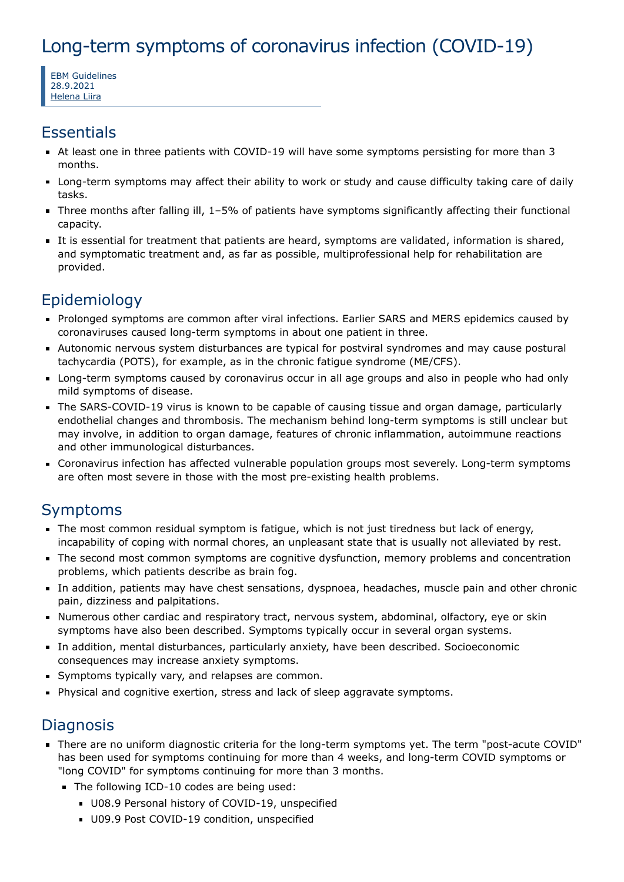# Long-term symptoms of coronavirus infection (COVID-19)

EBM Guidelines 28.9.2021 [Helena](https://www.ebm-guidelines.com/dtk/ebmg/toimija?p_id=9qm49) Liira

#### **Essentials**

- At least one in three patients with COVID-19 will have some symptoms persisting for more than 3 months.
- Long-term symptoms may affect their ability to work or study and cause difficulty taking care of daily tasks.
- Three months after falling ill, 1–5% of patients have symptoms significantly affecting their functional capacity.
- It is essential for treatment that patients are heard, symptoms are validated, information is shared, and symptomatic treatment and, as far as possible, multiprofessional help for rehabilitation are provided.

## Epidemiology

- Prolonged symptoms are common after viral infections. Earlier SARS and MERS epidemics caused by coronaviruses caused long-term symptoms in about one patient in three.
- Autonomic nervous system disturbances are typical for postviral syndromes and may cause postural tachycardia (POTS), for example, as in the chronic fatigue syndrome (ME/CFS).
- **EXT** Long-term symptoms caused by coronavirus occur in all age groups and also in people who had only mild symptoms of disease.
- The SARS-COVID-19 virus is known to be capable of causing tissue and organ damage, particularly endothelial changes and thrombosis. The mechanism behind long-term symptoms is still unclear but may involve, in addition to organ damage, features of chronic inflammation, autoimmune reactions and other immunological disturbances.
- Coronavirus infection has affected vulnerable population groups most severely. Long-term symptoms are often most severe in those with the most pre-existing health problems.

## Symptoms

- The most common residual symptom is fatigue, which is not just tiredness but lack of energy, incapability of coping with normal chores, an unpleasant state that is usually not alleviated by rest.
- The second most common symptoms are cognitive dysfunction, memory problems and concentration problems, which patients describe as brain fog.
- In addition, patients may have chest sensations, dyspnoea, headaches, muscle pain and other chronic pain, dizziness and palpitations.
- Numerous other cardiac and respiratory tract, nervous system, abdominal, olfactory, eye or skin symptoms have also been described. Symptoms typically occur in several organ systems.
- In addition, mental disturbances, particularly anxiety, have been described. Socioeconomic consequences may increase anxiety symptoms.
- Symptoms typically vary, and relapses are common.
- Physical and cognitive exertion, stress and lack of sleep aggravate symptoms.

## **Diagnosis**

- There are no uniform diagnostic criteria for the long-term symptoms yet. The term "post-acute COVID" has been used for symptoms continuing for more than 4 weeks, and long-term COVID symptoms or "long COVID" for symptoms continuing for more than 3 months.
	- The following ICD-10 codes are being used:
		- U08.9 Personal history of COVID-19, unspecified
		- U09.9 Post COVID-19 condition, unspecified